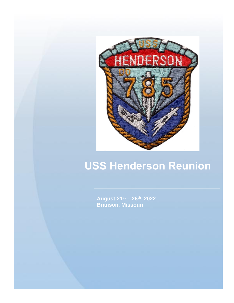

# **USS Henderson Reunion**

**August 21st – 26th, 2022 Branson, Missouri**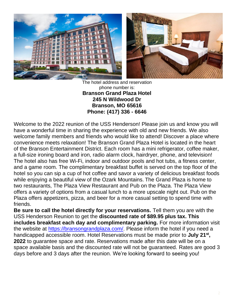

The hotel address and reservation phone number is: **Branson Grand Plaza Hotel 245 N Wildwood Dr Branson, MO 65616 Phone: (417) 336 - 6646**

Welcome to the 2022 reunion of the USS Henderson! Please join us and know you will have a wonderful time in sharing the experience with old and new friends. We also welcome family members and friends who would like to attend! Discover a place where convenience meets relaxation! The Branson Grand Plaza Hotel is located in the heart of the Branson Entertainment District. Each room has a mini refrigerator, coffee maker, a full-size ironing board and iron, radio alarm clock, hairdryer, phone, and television! The hotel also has free Wi-Fi, indoor and outdoor pools and hot tubs, a fitness center, and a game room. The complimentary breakfast buffet is served on the top floor of the hotel so you can sip a cup of hot coffee and savor a variety of delicious breakfast foods while enjoying a beautiful view of the Ozark Mountains. The Grand Plaza is home to two restaurants, The Plaza View Restaurant and Pub on the Plaza. The Plaza View offers a variety of options from a casual lunch to a more upscale night out. Pub on the Plaza offers appetizers, pizza, and beer for a more casual setting to spend time with friends.

**Be sure to call the hotel directly for your reservations.** Tell them you are with the USS Henderson Reunion to get the **discounted rate of \$89.95 plus tax. This includes breakfast each day and complimentary parking.** For more information visit the website at [https://bransongrandplaza.com/.](https://bransongrandplaza.com/) Please inform the hotel if you need a handicapped accessible room. Hotel Reservations must be made prior to **July 21st , 2022** to guarantee space and rate. Reservations made after this date will be on a space available basis and the discounted rate will not be guaranteed. Rates are good 3 days before and 3 days after the reunion. We're looking forward to seeing you!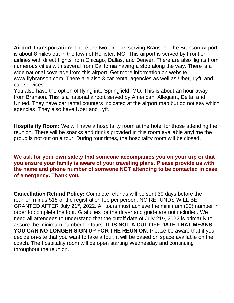**Airport Transportation:** There are two airports serving Branson. The Branson Airport is about 8 miles out in the town of Hollister, MO. This airport is served by Frontier airlines with direct flights from Chicago, Dallas, and Denver. There are also flights from numerous cities with several from California having a stop along the way. There is a wide national coverage from this airport. Get more information on website www.flybranson.com. There are also 3 car rental agencies as well as Uber, Lyft, and cab services.

You also have the option of flying into Springfield, MO. This is about an hour away from Branson. This is a national airport served by American, Allegiant, Delta, and United. They have car rental counters indicated at the airport map but do not say which agencies. They also have Uber and Lyft.

**Hospitality Room:** We will have a hospitality room at the hotel for those attending the reunion. There will be snacks and drinks provided in this room available anytime the group is not out on a tour. During tour times, the hospitality room will be closed.

### **We ask for your own safety that someone accompanies you on your trip or that you ensure your family is aware of your traveling plans. Please provide us with the name and phone number of someone NOT attending to be contacted in case of emergency. Thank you.**

**Cancellation Refund Policy:** Complete refunds will be sent 30 days before the reunion minus \$18 of the registration fee per person. NO REFUNDS WILL BE GRANTED AFTER July 21<sup>st</sup>, 2022. All tours must achieve the minimum (30) number in order to complete the tour. Gratuities for the driver and guide are not included. We need all attendees to understand that the cutoff date of July 21<sup>st</sup>, 2022 is primarily to assure the minimum number for tours. **IT IS NOT A CUT OFF DATE THAT MEANS YOU CAN NO LONGER SIGN UP FOR THE REUNION.** Please be aware that if you decide on-site that you want to take a tour, it will be based on space available on the coach. The hospitality room will be open starting Wednesday and continuing throughout the reunion.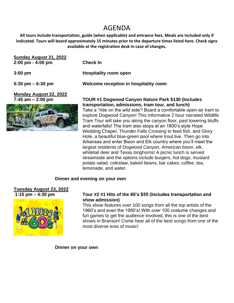## AGENDA

**All tours include transportation, guide (when applicable) and entrance fees. Meals are included only if indicated. Tours will board approximately 15 minutes prior to the departure times listed here. Check signs available at the registration desk in case of changes.**

| Sunday August 21, 2022<br>$2:00 \text{ pm} - 4:00 \text{ pm}$ | <b>Check In</b>                                                                                                                                                                                |
|---------------------------------------------------------------|------------------------------------------------------------------------------------------------------------------------------------------------------------------------------------------------|
| $3:00$ pm                                                     | <b>Hospitality room open</b>                                                                                                                                                                   |
| $5:30 \text{ pm} - 6:30 \text{ pm}$                           | Welcome reception in hospitality room                                                                                                                                                          |
| Monday August 22, 2022<br>7:45 am $-$ 2:00 pm                 | <b>TOUR #1 Dogwood Canyon Nature Park \$130 (Includes</b>                                                                                                                                      |
|                                                               | transportation, admissions, tram tour, and lunch)<br>Take a "ride on the wild side"! Board a comfortable open-air tram to<br>explore Dogwood Canyon! This informative 2 hour parrated Wildlife |

anyon! This informative 2 hour narrated Wildlife Tram Tour will take you along the canyon floor, past towering bluffs and waterfalls! The tram also stops at an 1800's style Hope Wedding Chapel, Thunder Falls Crossing to feed fish, and Glory Hole, a beautiful blue-green pool where trout live. Then go into Arkansas and enter Bison and Elk country where you'll meet the largest residents of Dogwood Canyon, American bison, elk, whitetail deer and Texas longhorns! A picnic lunch is served streamside and the options include burgers, hot dogs, mustard potato salad, coleslaw, baked beans, bar cakes, coffee, tea, lemonade, and water.

### **Dinner and evening on your own**

## **Tuesday August 23, 2022**



### **1:15 pm – 4:30 pm Tour #2 #1 Hits of the 60's \$55 (Includes transportation and show admission)**

This show features over 100 songs from all the top artists of the 1960's and even the 1950's! With over 100 costume changes and fun games to get the audience involved, this is one of the best shows in Branson! Come hear all of the best songs from one of the most diverse eras of music!

**Dinner on your own**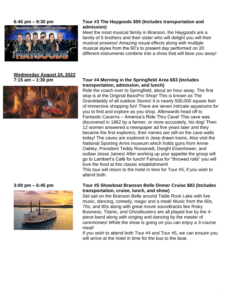

## **Wednesday August 24, 2022**





### **6:45 pm – 9:30 pm Tour #3 The Haygoods \$55 (Includes transportation and admission)**

Meet the most musical family in Branson, the Haygoods are a family of 5 brothers and their sister who will delight you will their musical prowess! Amazing visual effects along with multiple musical styles from the 60's to present day performed on 20 different instruments combine into a show that will blow you away!

### **7:15 am – 1:30 pm Tour #4 Morning in the Springfield Area \$83 (Includes transportation, admission, and lunch)**

Ride the coach over to Springfield, about an hour away. The first stop is at the Original BassPro Shop! This is known as The Granddaddy of all outdoor Stores! It is nearly 500,000 square feet of immersive shopping fun! There are seven intricate aquariums for you to find and explore as you shop. Afterwards head off to Fantastic Caverns – America's Ride Thru Cave! This cave was discovered in 1862 by a farmer, or more accurately, his dog! Then 12 women answered a newspaper ad five years later and they became the first explorers, their names are still on the cave walls today! The caves are explored in Jeep drawn trams. Also visit the National Sporting Arms museum which holds guns from Annie Oakley, President Teddy Roosevelt, Dwight Eisenhower, and outlaw Jesse James! After working up your appetite the group will go to Lambert's Café for lunch! Famous for "throwed rolls" you will love the food at this classic establishment!

This tour will return to the hotel in time for Tour #5, if you wish to attend both.

### **3:00 pm – 6:45 pm Tour #5 Showboat Branson Belle Dinner Cruise \$83 (Includes transportation, cruise, lunch, and show)**

Set sail on the Branson Belle around Table Rock Lake with live music, dancing, comedy, magic and a meal! Music from the 60s, 70s, and 80s along with great movie soundtracks like Risky Business, Titanic, and Ghostbusters are all played live by the 4 piece band along with singing and dancing by the master of ceremonies! While the show is going on you can enjoy a 3-course meal!

If you wish to attend both Tour #4 and Tour #5, we can ensure you will arrive at the hotel in time for the bus to the boat.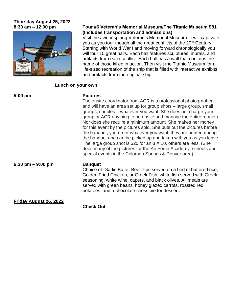# **Thursday August 25, 2022**



### **8:30 am – 12:00 pm Tour #6 Veteran's Memorial Museum/The Titanic Museum \$81 (Includes transportation and admissions)**

Visit the awe-inspiring Veteran's Memorial Museum. It will captivate you as you tour though all the great conflicts of the 20<sup>th</sup> Century. Starting with World War I and moving forward chronologically you will tour 10 great halls. Each hall features sculptures, murals, and artifacts from each conflict. Each hall has a wall that contains the name of those killed in action. Then visit the Titanic Museum for a life-sized recreation of the ship that is filled with interactive exhibits and artifacts from the original ship!

### **Lunch on your own**

| $5:00 \text{ pm}$      | <b>Pictures</b><br>The onsite coordinator from ACR is a professional photographer<br>and will have an area set up for group shots – large group, small<br>groups, couples – whatever you want. She does not charge your<br>group or ACR anything to be onsite and manage the entire reunion.<br>Nor does she require a minimum amount. She makes her money<br>for this event by the pictures sold. She puts out the pictures before<br>the banquet, you order whatever you want, they are printed during<br>the banquet and can be picked up and taken with you as you leave.<br>The large group shot is \$20 for an 8 X 10, others are less. (She<br>does many of the pictures for the Air Force Academy, schools and<br>special events in the Colorado Springs & Denver area) |
|------------------------|---------------------------------------------------------------------------------------------------------------------------------------------------------------------------------------------------------------------------------------------------------------------------------------------------------------------------------------------------------------------------------------------------------------------------------------------------------------------------------------------------------------------------------------------------------------------------------------------------------------------------------------------------------------------------------------------------------------------------------------------------------------------------------|
| 6:30 pm $-9:00$ pm     | <b>Banquet</b><br>Choice of: Garlic Butter Beef Tips served on a bed of buttered rice,<br>Golden Fried Chicken, or Greek Fish, white fish served with Greek<br>seasoning, white wine, capers, and black olives. All meals are<br>served with green beans, honey glazed carrots, roasted red<br>potatoes, and a chocolate chess pie for dessert.                                                                                                                                                                                                                                                                                                                                                                                                                                 |
| Friday August 26, 2022 | <b>Check Out</b>                                                                                                                                                                                                                                                                                                                                                                                                                                                                                                                                                                                                                                                                                                                                                                |